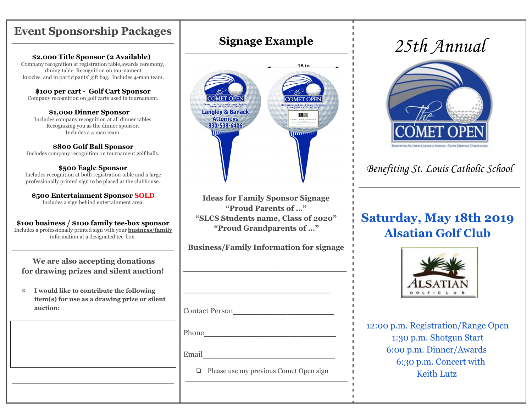## **Event Sponsorship Packages**

#### **\$2,000 Title Sponsor (2 Available)**

Company recognition at registration table,awards ceremony, dining table. Recognition on tournament koozies and in participants' gift bag. Includes 4-man team.

**\$100 per cart - Golf Cart Sponsor** Company recognition on golf carts used in tournament.

**\$1,000 Dinner Sponsor** Includes company recognition at all dinner tables Recognizing you as the dinner sponsor. Includes a 4 man team.

#### **\$800 Golf Ball Sponsor**

Includes company recognition on tournament golf balls.

#### **\$500 Eagle Sponsor**

Includes recognition at both registration table and a large professionally printed sign to be placed at the clubhouse.

**\$500 Entertainment Sponsor SOLD** Includes a sign behind entertainment area.

**\$100 business / \$100 family tee-box sponsor** Includes a professionally printed sign with your **business/family** information at a designated tee-box.

### **We are also accepting donations for drawing prizes and silent auction!**

▢ **I would like to contribute the following item(s) for use as a drawing prize or silent auction:**

**Signage Example**



**Ideas for Family Sponsor Signage "Proud Parents of …" "SLCS Students name, Class of 2020" "Proud Grandparents of …"**

**Business/Family Information for signage**

 $\overline{\phantom{a}}$  , where  $\overline{\phantom{a}}$  , where  $\overline{\phantom{a}}$  , where  $\overline{\phantom{a}}$  , where  $\overline{\phantom{a}}$ 

 $\overline{\phantom{a}}$  , where  $\overline{\phantom{a}}$  , where  $\overline{\phantom{a}}$  , where  $\overline{\phantom{a}}$ 

Contact Person\_\_\_\_\_\_\_\_\_\_\_\_\_

Phone\_\_\_\_\_\_\_\_\_\_\_\_\_\_\_\_\_

Email\_\_\_\_\_\_\_\_\_\_\_\_\_\_\_\_\_

❏ Please use my previous Comet Open sign

# 25th Annual



Benefiting St. Louis Catholic School

## **Saturday, May 18th 2019 Alsatian Golf Club**



12:00 p.m. Registration/Range Open 1:30 p.m. Shotgun Start 6:00 p.m. Dinner/Awards 6:30 p.m. Concert with Keith Lutz